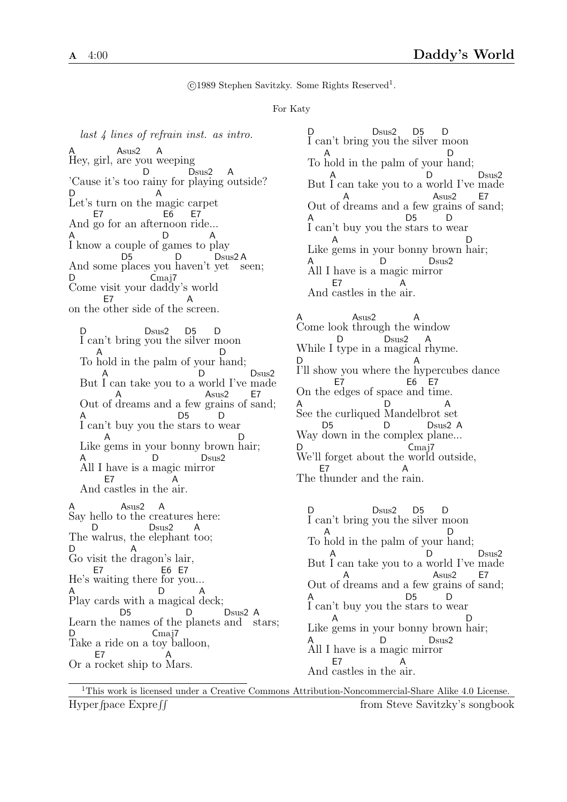c 1989 Stephen Savitzky. Some Rights Reserved<sup>1</sup> .

## For Katy

last 4 lines of refrain inst. as intro. A Hey, girl, are you weeping Asus2 A 'Cause it's too rainy for playing outside? D Dsus2 A D Let's turn on the magic carpet A And go for an after noon ride... E7 E6 E7 A I know a couple of games to play D A And some places you haven't yet D5 D Dsus<sub>2</sub>A seen; D Come visit your daddy's world  $C<sub>maj7</sub>$ on the other side of the screen. E7 A

D I can't bring you the silver moon Dsus2 D<sub>5</sub>  $\mathsf{D}$ To hold in the palm of your hand; A D But A I can take you to a D world I've Dsus2 made Out of dreams and a few grains of sand; A Asus2 E7 A I can't buy you the stars to wear D5 D Like gems in your bonny brown hair; A D A All I have is a magic mir ror D Dsus2 And castles in the air. E7 A A Say hello t o the cr eatures here: Asus2 A The walrus, the elephant too; D. Dsus2 A D Go visit the dragon's lair, A He's waiting there for you... E7 E6 E7 A Play cards with a magical deck;  $D$ A Learn the names of the planets and stars; D<sub>5</sub> D Dsus2 A D Take a ride on a toy balloon, Cmaj7 Or a rocket ship to Mars. E7 A

D I can't bring you the silver moon Dsus2 D<sub>5</sub> D To hold in the palm of your hand; A D But A I can take you to a world I've made D D<sub>sus</sub>2 Out of A dreams and a few grains of Asus2 E7 sand; A
D<sub>5</sub>
D<sub>5</sub>
D<sub>5</sub>
D<sub>5</sub>
D<sub>5</sub> I can't buy you the stars to wear D<sub>5</sub> Like gems in your bonny brown hair; A D A All I have is a magic mir ror D Dsus2 And castles in the air. E7 A

A Come look through the window Asus2 A While I type in a magical rhyme. D Dsus2 A D I'll show you where the hypercubes dance A On the edges of space and time. E7 E6 E7 A See the curliqued Mandelbrot set D A Way down in the complex plane... D5 D Dsus2 A D We'll forget about the world outside, Cmaj7 The thunder and the rain. E7 A

D I can't bring you the silver moon Dsus2 D<sub>5</sub> D To hold in the palm of your hand; A D But I can take you to a world I've made A D Dsus2 Out of dreams and a few grains of sand; A Asus2 E7 A I can't buy you the stars to wear D<sub>5</sub> D Like gems in your bonny brown hair; A D A All I have is a magic mir ror D. Dsus2 And castles in the air. E7 A

<sup>1</sup>This work is licensed under a Creative Commons Attribution-Noncommercial-Share Alike 4.0 License. Hyper fpace  $\text{Expre}$  ff from Steve Savitzky's songbook